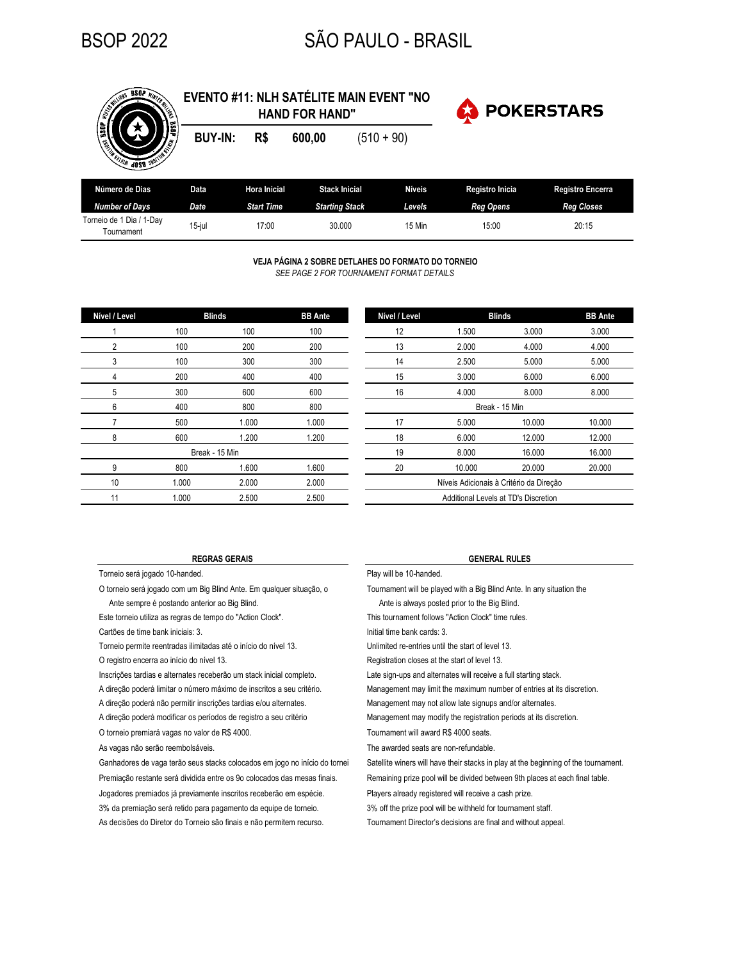**INITES ESOP WINTER** 

# BSOP 2022 SÃO PAULO - BRASIL

| <b>CONTROL</b><br><b>MILLES</b>        |                |                     | <b>HAND FOR HAND"</b> | <b>POKERSTARS</b><br>大 |               |                  |                         |
|----------------------------------------|----------------|---------------------|-----------------------|------------------------|---------------|------------------|-------------------------|
| <b>EXECUTIVE CONTROL</b>               | <b>BUY-IN:</b> | R\$                 | 600,00                | $(510 + 90)$           |               |                  |                         |
| Número de Dias                         | Data           | <b>Hora Inicial</b> | <b>Stack Inicial</b>  |                        | <b>Níveis</b> | Registro Inicia  | <b>Registro Encerra</b> |
| <b>Number of Days</b>                  | Date           | <b>Start Time</b>   | <b>Starting Stack</b> |                        | Levels        | <b>Reg Opens</b> | <b>Reg Closes</b>       |
| Torneio de 1 Dia / 1-Day<br>Tournament | $15$ -jul      | 17:00               | 30,000                |                        | 15 Min        | 15:00            | 20:15                   |
|                                        |                |                     |                       |                        |               |                  |                         |

**EVENTO #11: NLH SATÉLITE MAIN EVENT "NO** 

**VEJA PÁGINA 2 SOBRE DETLAHES DO FORMATO DO TORNEIO** *SEE PAGE 2 FOR TOURNAMENT FORMAT DETAILS*

| Nível / Level  |       | <b>Blinds</b><br><b>BB</b> Ante |       | Nível / Level                | <b>Blinds</b>             |  |  |
|----------------|-------|---------------------------------|-------|------------------------------|---------------------------|--|--|
|                | 100   | 100                             | 100   | 12                           | 1.500                     |  |  |
| $\overline{2}$ | 100   | 200                             | 200   | 13                           | 2.000                     |  |  |
| 3              | 100   | 300                             | 300   | 14                           | 2.500                     |  |  |
| 4              | 200   | 400                             | 400   | 15                           | 3.000                     |  |  |
| 5              | 300   | 600                             | 600   | 16                           | 4.000                     |  |  |
| 6              | 400   | 800                             | 800   |                              | Break - 15 Min            |  |  |
|                | 500   | 1.000                           | 1.000 | 17                           | 5.000                     |  |  |
| 8              | 600   | 1.200                           | 1.200 | 18                           | 6.000                     |  |  |
|                |       | Break - 15 Min                  |       | 19                           | 8.000                     |  |  |
| 9              | 800   | 1.600                           | 1.600 | 20                           | 10.000                    |  |  |
| 10             | 1.000 | 2.000                           | 2.000 | Níveis Adicionais à Critéric |                           |  |  |
| 11             | 1.000 | 2.500                           | 2.500 |                              | Additional Levels at TD's |  |  |
|                |       |                                 |       |                              |                           |  |  |

| Nível / Level                        |        | <b>Blinds</b>                           | <b>BB</b> Ante |
|--------------------------------------|--------|-----------------------------------------|----------------|
| 12                                   | 1.500  | 3.000                                   | 3.000          |
| 13                                   | 2.000  | 4.000                                   | 4.000          |
| 14                                   | 2.500  | 5.000                                   | 5.000          |
| 15                                   | 3.000  | 6.000                                   | 6.000          |
| 16                                   | 4.000  | 8.000                                   | 8.000          |
|                                      |        | Break - 15 Min                          |                |
| 17                                   | 5.000  | 10.000                                  | 10.000         |
| 18                                   | 6.000  | 12.000                                  | 12.000         |
| 19                                   | 8.000  | 16.000                                  | 16.000         |
| 20                                   | 10.000 | 20.000                                  | 20.000         |
|                                      |        | Níveis Adicionais à Critério da Direção |                |
| Additional Levels at TD's Discretion |        |                                         |                |

Torneio será jogado 10-handed. **Play will be 10-handed**.

Ante sempre é postando anterior ao Big Blind. Ante is always posted prior to the Big Blind.

Este torneio utiliza as regras de tempo do "Action Clock".

Cartões de time bank iniciais: 3.

O registro encerra ao início do nível 13. Torneio permite reentradas ilimitadas até o início do nível 13. Unlimited re-entries until the start of level 13.

Inscrições tardias e alternates receberão um stack inicial completo. A direção poderá limitar o número máximo de inscritos a seu critério.

A direção poderá não permitir inscrições tardias e/ou alternates.

A direção poderá modificar os períodos de registro a seu critério

O torneio premiará vagas no valor de R\$ 4000.

As vagas não serão reembolsáveis.

Jogadores premiados já previamente inscritos receberão em espécie. 3% da premiação será retido para pagamento da equipe de torneio. As decisões do Diretor do Torneio são finais e não permitem recurso. Ganhadores de vaga terão seus stacks colocados em jogo no início do tornei Premiação restante será dividida entre os 9o colocados das mesas finais.

### **REGRAS GERAIS GENERAL RULES**

O torneio será jogado com um Big Blind Ante. Em qualquer situação, o Tournament will be played with a Big Blind Ante. In any situation the

This tournament follows "Action Clock" time rules.

Initial time bank cards: 3.

Registration closes at the start of level 13.

Late sign-ups and alternates will receive a full starting stack.

Management may limit the maximum number of entries at its discretion.

Management may not allow late signups and/or alternates.

Management may modify the registration periods at its discretion.

Tournament will award R\$ 4000 seats.

The awarded seats are non-refundable.

Satellite winers will have their stacks in play at the beginning of the tournament.

Remaining prize pool will be divided between 9th places at each final table.

Players already registered will receive a cash prize.

3% off the prize pool will be withheld for tournament staff.

Tournament Director's decisions are final and without appeal.